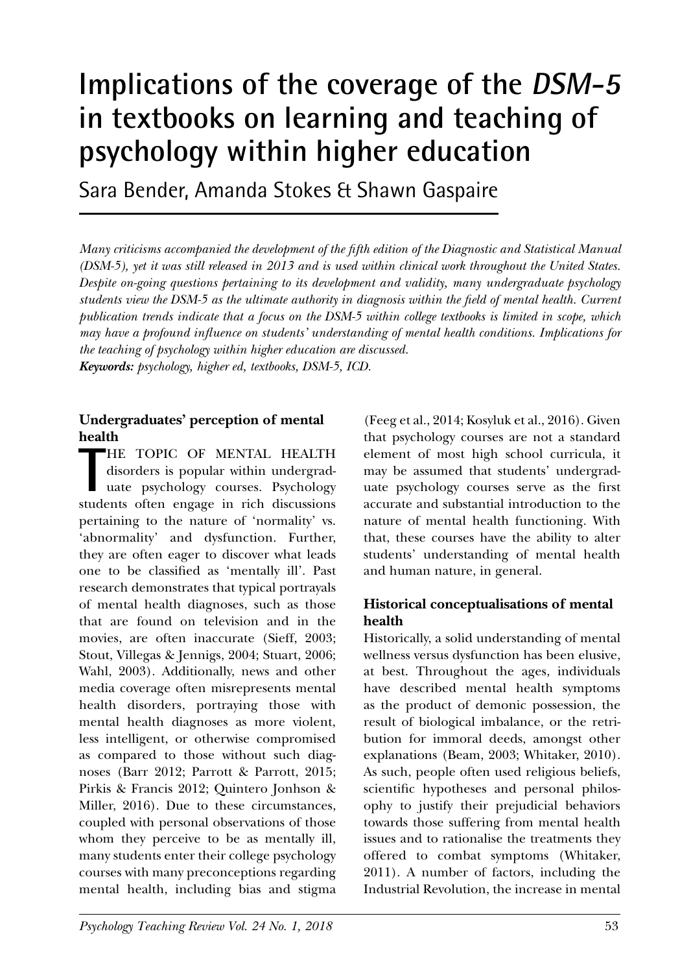# **Implications of the coverage of the DSM-5 in textbooks on learning and teaching of psychology within higher education**

Sara Bender, Amanda Stokes & Shawn Gaspaire

*Many criticisms accompanied the development of the fifth edition of the Diagnostic and Statistical Manual (DSM-5), yet it was still released in 2013 and is used within clinical work throughout the United States. Despite on-going questions pertaining to its development and validity, many undergraduate psychology students view the DSM-5 as the ultimate authority in diagnosis within the field of mental health. Current publication trends indicate that a focus on the DSM-5 within college textbooks is limited in scope, which may have a profound influence on students' understanding of mental health conditions. Implications for the teaching of psychology within higher education are discussed. Keywords: psychology, higher ed, textbooks, DSM-5, ICD.*

#### **Undergraduates' perception of mental health**

THE TOPIC OF MENTAL HEALTH<br>disorders is popular within undergrad-<br>uate psychology courses. Psychology<br>students often engage in rich discussions HE TOPIC OF MENTAL HEALTH disorders is popular within undergraduate psychology courses. Psychology pertaining to the nature of 'normality' vs. 'abnormality' and dysfunction. Further, they are often eager to discover what leads one to be classified as 'mentally ill'. Past research demonstrates that typical portrayals of mental health diagnoses, such as those that are found on television and in the movies, are often inaccurate (Sieff, 2003; Stout, Villegas & Jennigs, 2004; Stuart, 2006; Wahl, 2003). Additionally, news and other media coverage often misrepresents mental health disorders, portraying those with mental health diagnoses as more violent, less intelligent, or otherwise compromised as compared to those without such diagnoses (Barr 2012; Parrott & Parrott, 2015; Pirkis & Francis 2012; Quintero Jonhson & Miller, 2016). Due to these circumstances, coupled with personal observations of those whom they perceive to be as mentally ill, many students enter their college psychology courses with many preconceptions regarding mental health, including bias and stigma

(Feeg et al., 2014; Kosyluk et al., 2016). Given that psychology courses are not a standard element of most high school curricula, it may be assumed that students' undergraduate psychology courses serve as the first accurate and substantial introduction to the nature of mental health functioning. With that, these courses have the ability to alter students' understanding of mental health and human nature, in general.

## **Historical conceptualisations of mental health**

Historically, a solid understanding of mental wellness versus dysfunction has been elusive, at best. Throughout the ages, individuals have described mental health symptoms as the product of demonic possession, the result of biological imbalance, or the retribution for immoral deeds, amongst other explanations (Beam, 2003; Whitaker, 2010). As such, people often used religious beliefs, scientific hypotheses and personal philosophy to justify their prejudicial behaviors towards those suffering from mental health issues and to rationalise the treatments they offered to combat symptoms (Whitaker, 2011). A number of factors, including the Industrial Revolution, the increase in mental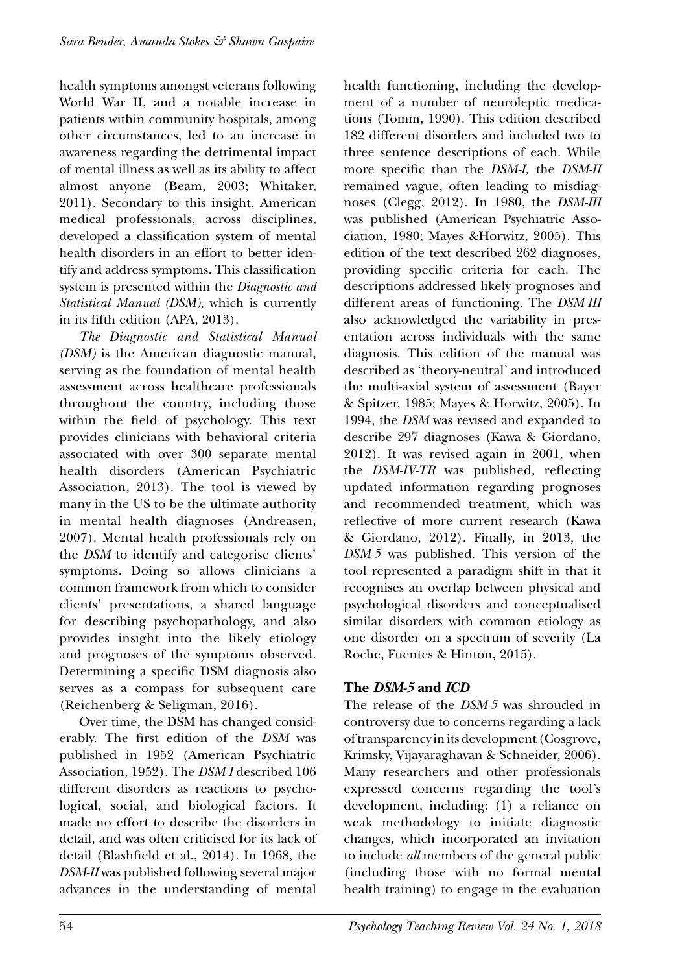health symptoms amongst veterans following World War II, and a notable increase in patients within community hospitals, among other circumstances, led to an increase in awareness regarding the detrimental impact of mental illness as well as its ability to affect almost anyone (Beam, 2003; Whitaker, 2011). Secondary to this insight, American medical professionals, across disciplines, developed a classification system of mental health disorders in an effort to better identify and address symptoms. This classification system is presented within the *Diagnostic and Statistical Manual (DSM)*, which is currently in its fifth edition (APA, 2013).

*The Diagnostic and Statistical Manual (DSM)* is the American diagnostic manual, serving as the foundation of mental health assessment across healthcare professionals throughout the country, including those within the field of psychology. This text provides clinicians with behavioral criteria associated with over 300 separate mental health disorders (American Psychiatric Association, 2013). The tool is viewed by many in the US to be the ultimate authority in mental health diagnoses (Andreasen, 2007). Mental health professionals rely on the *DSM* to identify and categorise clients' symptoms. Doing so allows clinicians a common framework from which to consider clients' presentations, a shared language for describing psychopathology, and also provides insight into the likely etiology and prognoses of the symptoms observed. Determining a specific DSM diagnosis also serves as a compass for subsequent care (Reichenberg & Seligman, 2016).

Over time, the DSM has changed considerably. The first edition of the *DSM* was published in 1952 (American Psychiatric Association, 1952). The *DSM-I* described 106 different disorders as reactions to psychological, social, and biological factors. It made no effort to describe the disorders in detail, and was often criticised for its lack of detail (Blashfield et al., 2014). In 1968, the *DSM-II* was published following several major advances in the understanding of mental health functioning, including the development of a number of neuroleptic medications (Tomm, 1990). This edition described 182 different disorders and included two to three sentence descriptions of each. While more specific than the *DSM-I,* the *DSM-II*  remained vague, often leading to misdiagnoses (Clegg, 2012). In 1980, the *DSM-III*  was published (American Psychiatric Association, 1980; Mayes &Horwitz, 2005). This edition of the text described 262 diagnoses, providing specific criteria for each. The descriptions addressed likely prognoses and different areas of functioning. The *DSM-III*  also acknowledged the variability in presentation across individuals with the same diagnosis. This edition of the manual was described as 'theory-neutral' and introduced the multi-axial system of assessment (Bayer & Spitzer, 1985; Mayes & Horwitz, 2005). In 1994, the *DSM* was revised and expanded to describe 297 diagnoses (Kawa & Giordano, 2012). It was revised again in 2001, when the *DSM-IV-TR* was published, reflecting updated information regarding prognoses and recommended treatment, which was reflective of more current research (Kawa & Giordano, 2012). Finally, in 2013, the *DSM-5* was published. This version of the tool represented a paradigm shift in that it recognises an overlap between physical and psychological disorders and conceptualised similar disorders with common etiology as one disorder on a spectrum of severity (La Roche, Fuentes & Hinton, 2015).

## **The** *DSM-5* **and** *ICD*

The release of the *DSM-5* was shrouded in controversy due to concerns regarding a lack of transparency in its development (Cosgrove, Krimsky, Vijayaraghavan & Schneider, 2006). Many researchers and other professionals expressed concerns regarding the tool's development, including: (1) a reliance on weak methodology to initiate diagnostic changes, which incorporated an invitation to include *all* members of the general public (including those with no formal mental health training) to engage in the evaluation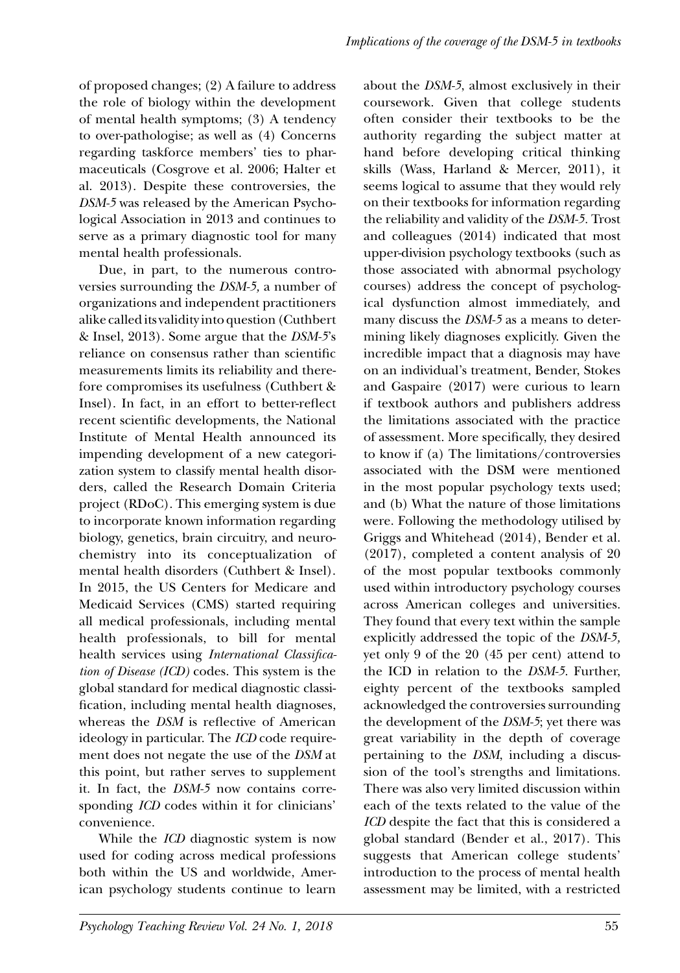of proposed changes; (2) A failure to address the role of biology within the development of mental health symptoms; (3) A tendency to over-pathologise; as well as (4) Concerns regarding taskforce members' ties to pharmaceuticals (Cosgrove et al. 2006; Halter et al. 2013). Despite these controversies, the *DSM-5* was released by the American Psychological Association in 2013 and continues to serve as a primary diagnostic tool for many mental health professionals.

Due, in part, to the numerous controversies surrounding the *DSM-5,* a number of organizations and independent practitioners alike called its validity into question (Cuthbert & Insel, 2013). Some argue that the *DSM-5*'s reliance on consensus rather than scientific measurements limits its reliability and therefore compromises its usefulness (Cuthbert & Insel). In fact, in an effort to better-reflect recent scientific developments, the National Institute of Mental Health announced its impending development of a new categorization system to classify mental health disorders, called the Research Domain Criteria project (RDoC). This emerging system is due to incorporate known information regarding biology, genetics, brain circuitry, and neurochemistry into its conceptualization of mental health disorders (Cuthbert & Insel). In 2015, the US Centers for Medicare and Medicaid Services (CMS) started requiring all medical professionals, including mental health professionals, to bill for mental health services using *International Classification of Disease (ICD)* codes. This system is the global standard for medical diagnostic classification, including mental health diagnoses, whereas the *DSM* is reflective of American ideology in particular. The *ICD* code requirement does not negate the use of the *DSM* at this point, but rather serves to supplement it. In fact, the *DSM-5* now contains corresponding *ICD* codes within it for clinicians' convenience.

While the *ICD* diagnostic system is now used for coding across medical professions both within the US and worldwide, American psychology students continue to learn about the *DSM-5*, almost exclusively in their coursework. Given that college students often consider their textbooks to be the authority regarding the subject matter at hand before developing critical thinking skills (Wass, Harland & Mercer, 2011), it seems logical to assume that they would rely on their textbooks for information regarding the reliability and validity of the *DSM-5.* Trost and colleagues (2014) indicated that most upper-division psychology textbooks (such as those associated with abnormal psychology courses) address the concept of psychological dysfunction almost immediately, and many discuss the *DSM-5* as a means to determining likely diagnoses explicitly. Given the incredible impact that a diagnosis may have on an individual's treatment, Bender, Stokes and Gaspaire (2017) were curious to learn if textbook authors and publishers address the limitations associated with the practice of assessment. More specifically, they desired to know if (a) The limitations/controversies associated with the DSM were mentioned in the most popular psychology texts used; and (b) What the nature of those limitations were. Following the methodology utilised by Griggs and Whitehead (2014), Bender et al. (2017), completed a content analysis of 20 of the most popular textbooks commonly used within introductory psychology courses across American colleges and universities. They found that every text within the sample explicitly addressed the topic of the *DSM-5,*  yet only 9 of the 20 (45 per cent) attend to the ICD in relation to the *DSM-5*. Further, eighty percent of the textbooks sampled acknowledged the controversies surrounding the development of the *DSM-5*; yet there was great variability in the depth of coverage pertaining to the *DSM*, including a discussion of the tool's strengths and limitations. There was also very limited discussion within each of the texts related to the value of the *ICD* despite the fact that this is considered a global standard (Bender et al., 2017). This suggests that American college students' introduction to the process of mental health assessment may be limited, with a restricted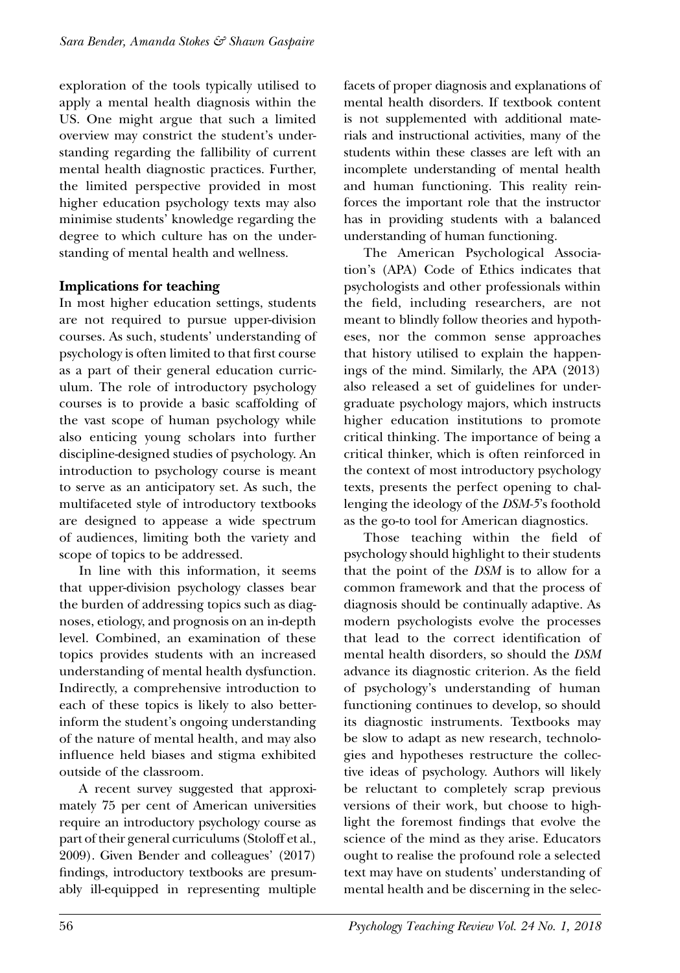exploration of the tools typically utilised to apply a mental health diagnosis within the US. One might argue that such a limited overview may constrict the student's understanding regarding the fallibility of current mental health diagnostic practices. Further, the limited perspective provided in most higher education psychology texts may also minimise students' knowledge regarding the degree to which culture has on the understanding of mental health and wellness.

### **Implications for teaching**

In most higher education settings, students are not required to pursue upper-division courses. As such, students' understanding of psychology is often limited to that first course as a part of their general education curriculum. The role of introductory psychology courses is to provide a basic scaffolding of the vast scope of human psychology while also enticing young scholars into further discipline-designed studies of psychology. An introduction to psychology course is meant to serve as an anticipatory set. As such, the multifaceted style of introductory textbooks are designed to appease a wide spectrum of audiences, limiting both the variety and scope of topics to be addressed.

In line with this information, it seems that upper-division psychology classes bear the burden of addressing topics such as diagnoses, etiology, and prognosis on an in-depth level. Combined, an examination of these topics provides students with an increased understanding of mental health dysfunction. Indirectly, a comprehensive introduction to each of these topics is likely to also betterinform the student's ongoing understanding of the nature of mental health, and may also influence held biases and stigma exhibited outside of the classroom.

A recent survey suggested that approximately 75 per cent of American universities require an introductory psychology course as part of their general curriculums (Stoloff et al., 2009). Given Bender and colleagues' (2017) findings, introductory textbooks are presumably ill-equipped in representing multiple facets of proper diagnosis and explanations of mental health disorders. If textbook content is not supplemented with additional materials and instructional activities, many of the students within these classes are left with an incomplete understanding of mental health and human functioning. This reality reinforces the important role that the instructor has in providing students with a balanced understanding of human functioning.

The American Psychological Association's (APA) Code of Ethics indicates that psychologists and other professionals within the field, including researchers, are not meant to blindly follow theories and hypotheses, nor the common sense approaches that history utilised to explain the happenings of the mind. Similarly, the APA (2013) also released a set of guidelines for undergraduate psychology majors, which instructs higher education institutions to promote critical thinking. The importance of being a critical thinker, which is often reinforced in the context of most introductory psychology texts, presents the perfect opening to challenging the ideology of the *DSM-5*'s foothold as the go-to tool for American diagnostics.

Those teaching within the field of psychology should highlight to their students that the point of the *DSM* is to allow for a common framework and that the process of diagnosis should be continually adaptive. As modern psychologists evolve the processes that lead to the correct identification of mental health disorders, so should the *DSM* advance its diagnostic criterion. As the field of psychology's understanding of human functioning continues to develop, so should its diagnostic instruments. Textbooks may be slow to adapt as new research, technologies and hypotheses restructure the collective ideas of psychology. Authors will likely be reluctant to completely scrap previous versions of their work, but choose to highlight the foremost findings that evolve the science of the mind as they arise. Educators ought to realise the profound role a selected text may have on students' understanding of mental health and be discerning in the selec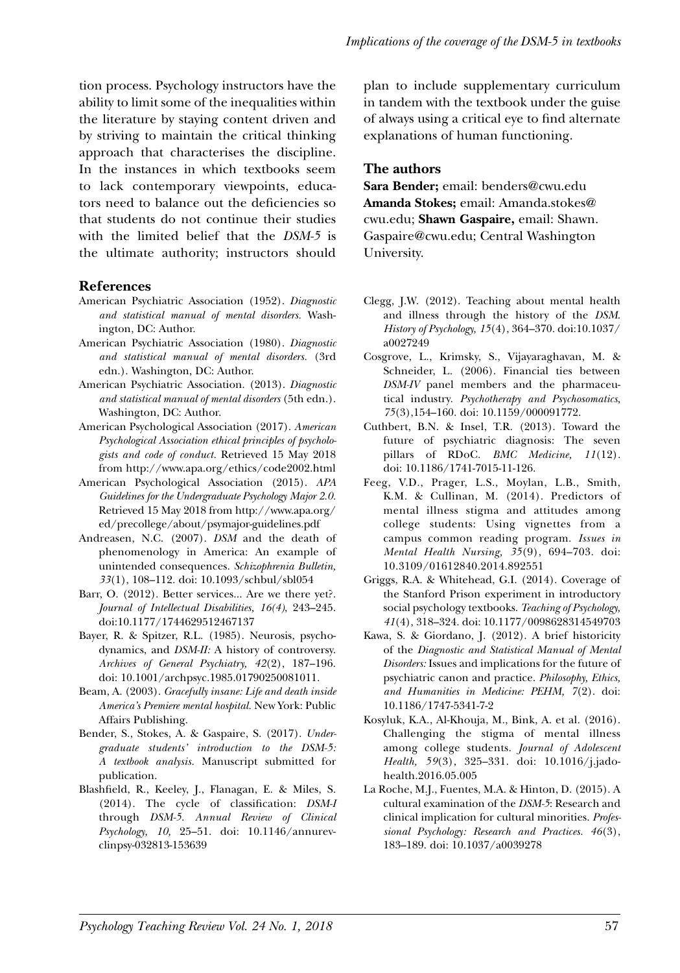tion process. Psychology instructors have the ability to limit some of the inequalities within the literature by staying content driven and by striving to maintain the critical thinking approach that characterises the discipline. In the instances in which textbooks seem to lack contemporary viewpoints, educators need to balance out the deficiencies so that students do not continue their studies with the limited belief that the *DSM-5* is the ultimate authority; instructors should

#### **References**

- American Psychiatric Association (1952). *Diagnostic and statistical manual of mental disorders.* Washington, DC: Author.
- American Psychiatric Association (1980). *Diagnostic and statistical manual of mental disorders.* (3rd edn.). Washington, DC: Author.
- American Psychiatric Association. (2013). *Diagnostic and statistical manual of mental disorders* (5th edn.). Washington, DC: Author.
- American Psychological Association (2017). *American Psychological Association ethical principles of psychologists and code of conduct.* Retrieved 15 May 2018 from http://www.apa.org/ethics/code2002.html
- American Psychological Association (2015). *APA Guidelines for the Undergraduate Psychology Major 2.0.* Retrieved 15 May 2018 from http://www.apa.org/ ed/precollege/about/psymajor-guidelines.pdf
- Andreasen, N.C. (2007). *DSM* and the death of phenomenology in America: An example of unintended consequences. *Schizophrenia Bulletin, 33*(1), 108–112. doi: 10.1093/schbul/sbl054
- Barr, O. (2012). Better services... Are we there yet?. *Journal of Intellectual Disabilities, 16(4)*, 243–245. doi:10.1177/1744629512467137
- Bayer, R. & Spitzer, R.L. (1985). Neurosis, psychodynamics, and *DSM-II:* A history of controversy. *Archives of General Psychiatry, 42*(2), 187–196. doi: 10.1001/archpsyc.1985.01790250081011.
- Beam, A. (2003). *Gracefully insane: Life and death inside America's Premiere mental hospital.* New York: Public Affairs Publishing.
- Bender, S., Stokes, A. & Gaspaire, S. (2017). *Undergraduate students' introduction to the DSM-5: A textbook analysis.* Manuscript submitted for publication.
- Blashfield, R., Keeley, J., Flanagan, E. & Miles, S. (2014). The cycle of classification: *DSM-I* through *DSM-5*. *Annual Review of Clinical Psychology, 10,* 25–51. doi: 10.1146/annurevclinpsy-032813-153639

plan to include supplementary curriculum in tandem with the textbook under the guise of always using a critical eye to find alternate explanations of human functioning.

#### **The authors**

**Sara Bender;** email: benders@cwu.edu **Amanda Stokes;** email: Amanda.stokes@ cwu.edu; **Shawn Gaspaire,** email: Shawn. Gaspaire@cwu.edu; Central Washington University.

- Clegg, J.W. (2012). Teaching about mental health and illness through the history of the *DSM*. *History of Psychology, 15*(4), 364–370. doi:10.1037/ a0027249
- Cosgrove, L., Krimsky, S., Vijayaraghavan, M. & Schneider, L. (2006). Financial ties between *DSM-IV* panel members and the pharmaceutical industry. *Psychotherapy and Psychosomatics, 75*(3),154–160. doi: 10.1159/000091772.
- Cuthbert, B.N. & Insel, T.R. (2013). Toward the future of psychiatric diagnosis: The seven pillars of RDoC. *BMC Medicine, 11*(12). doi: 10.1186/1741-7015-11-126.
- Feeg, V.D., Prager, L.S., Moylan, L.B., Smith, K.M. & Cullinan, M. (2014). Predictors of mental illness stigma and attitudes among college students: Using vignettes from a campus common reading program. *Issues in Mental Health Nursing, 35*(9), 694–703. doi: 10.3109/01612840.2014.892551
- Griggs, R.A. & Whitehead, G.I. (2014). Coverage of the Stanford Prison experiment in introductory social psychology textbooks. *Teaching of Psychology, 41*(4), 318–324. doi: 10.1177/0098628314549703
- Kawa, S. & Giordano, J. (2012). A brief historicity of the *Diagnostic and Statistical Manual of Mental Disorders:* Issues and implications for the future of psychiatric canon and practice. *Philosophy, Ethics, and Humanities in Medicine: PEHM, 7*(2). doi: 10.1186/1747-5341-7-2
- Kosyluk, K.A., Al-Khouja, M., Bink, A. et al. (2016). Challenging the stigma of mental illness among college students. *Journal of Adolescent Health, 59*(3), 325–331. doi: 10.1016/j.jadohealth.2016.05.005
- La Roche, M.J., Fuentes, M.A. & Hinton, D. (2015). A cultural examination of the *DSM-5*: Research and clinical implication for cultural minorities. *Professional Psychology: Research and Practices. 46*(3), 183–189. doi: 10.1037/a0039278